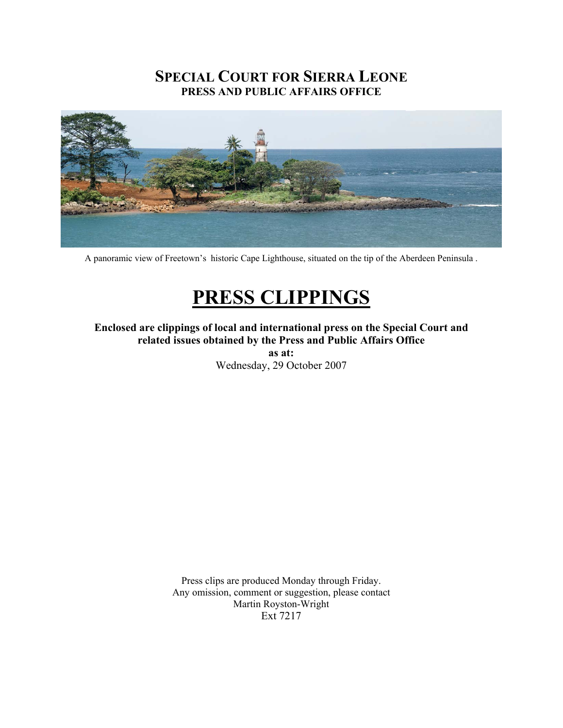# **SPECIAL COURT FOR SIERRA LEONE PRESS AND PUBLIC AFFAIRS OFFICE**



A panoramic view of Freetown's historic Cape Lighthouse, situated on the tip of the Aberdeen Peninsula .

# **PRESS CLIPPINGS**

**Enclosed are clippings of local and international press on the Special Court and related issues obtained by the Press and Public Affairs Office as at:** 

Wednesday, 29 October 2007

Press clips are produced Monday through Friday. Any omission, comment or suggestion, please contact Martin Royston-Wright Ext 7217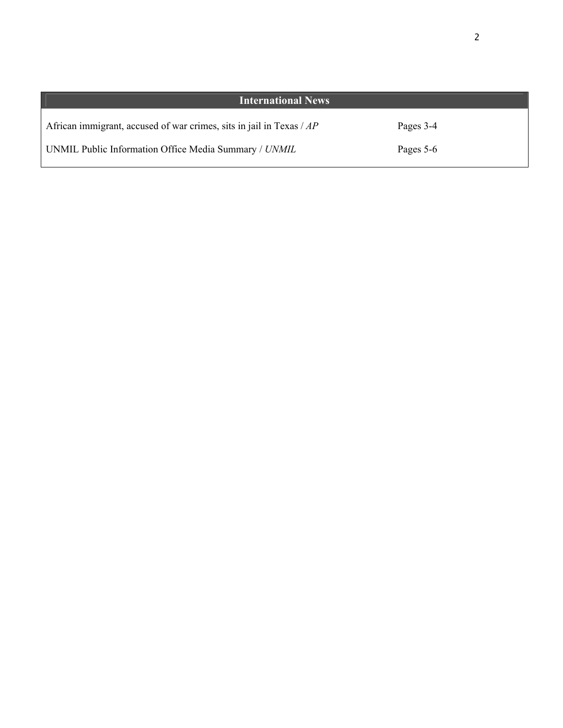| <b>International News</b>                                                   |           |  |
|-----------------------------------------------------------------------------|-----------|--|
| African immigrant, accused of war crimes, sits in jail in Texas $\angle AP$ | Pages 3-4 |  |
| UNMIL Public Information Office Media Summary / UNMIL                       | Pages 5-6 |  |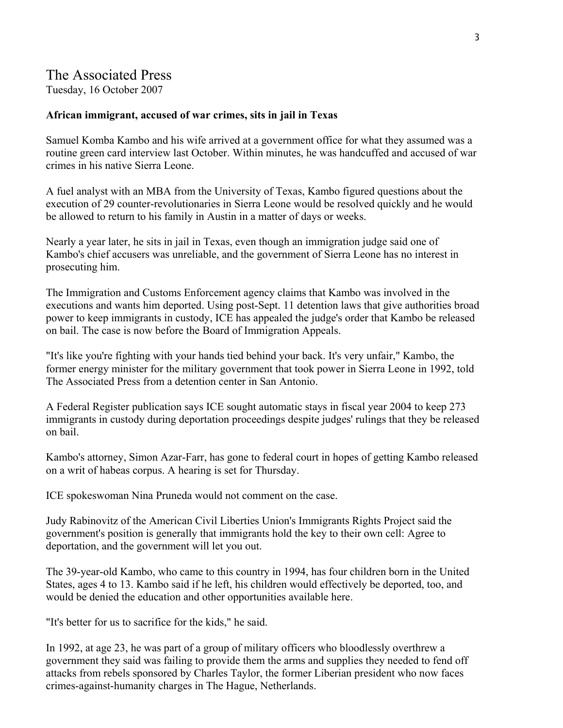# The Associated Press

Tuesday, 16 October 2007

#### **African immigrant, accused of war crimes, sits in jail in Texas**

Samuel Komba Kambo and his wife arrived at a government office for what they assumed was a routine green card interview last October. Within minutes, he was handcuffed and accused of war crimes in his native Sierra Leone.

A fuel analyst with an MBA from the University of Texas, Kambo figured questions about the execution of 29 counter-revolutionaries in Sierra Leone would be resolved quickly and he would be allowed to return to his family in Austin in a matter of days or weeks.

Nearly a year later, he sits in jail in Texas, even though an immigration judge said one of Kambo's chief accusers was unreliable, and the government of Sierra Leone has no interest in prosecuting him.

The Immigration and Customs Enforcement agency claims that Kambo was involved in the executions and wants him deported. Using post-Sept. 11 detention laws that give authorities broad power to keep immigrants in custody, ICE has appealed the judge's order that Kambo be released on bail. The case is now before the Board of Immigration Appeals.

"It's like you're fighting with your hands tied behind your back. It's very unfair," Kambo, the former energy minister for the military government that took power in Sierra Leone in 1992, told The Associated Press from a detention center in San Antonio.

A Federal Register publication says ICE sought automatic stays in fiscal year 2004 to keep 273 immigrants in custody during deportation proceedings despite judges' rulings that they be released on bail.

Kambo's attorney, Simon Azar-Farr, has gone to federal court in hopes of getting Kambo released on a writ of habeas corpus. A hearing is set for Thursday.

ICE spokeswoman Nina Pruneda would not comment on the case.

Judy Rabinovitz of the American Civil Liberties Union's Immigrants Rights Project said the government's position is generally that immigrants hold the key to their own cell: Agree to deportation, and the government will let you out.

The 39-year-old Kambo, who came to this country in 1994, has four children born in the United States, ages 4 to 13. Kambo said if he left, his children would effectively be deported, too, and would be denied the education and other opportunities available here.

"It's better for us to sacrifice for the kids," he said.

In 1992, at age 23, he was part of a group of military officers who bloodlessly overthrew a government they said was failing to provide them the arms and supplies they needed to fend off attacks from rebels sponsored by Charles Taylor, the former Liberian president who now faces crimes-against-humanity charges in The Hague, Netherlands.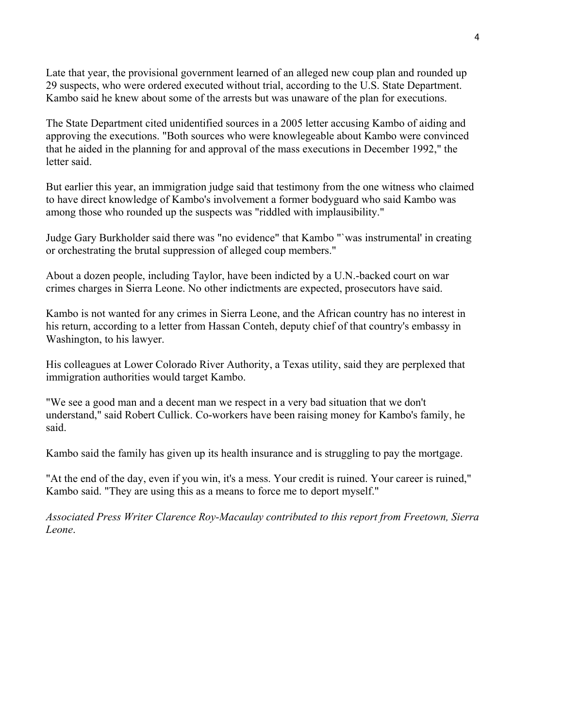Late that year, the provisional government learned of an alleged new coup plan and rounded up 29 suspects, who were ordered executed without trial, according to the U.S. State Department. Kambo said he knew about some of the arrests but was unaware of the plan for executions.

The State Department cited unidentified sources in a 2005 letter accusing Kambo of aiding and approving the executions. "Both sources who were knowlegeable about Kambo were convinced that he aided in the planning for and approval of the mass executions in December 1992," the letter said.

But earlier this year, an immigration judge said that testimony from the one witness who claimed to have direct knowledge of Kambo's involvement a former bodyguard who said Kambo was among those who rounded up the suspects was "riddled with implausibility."

Judge Gary Burkholder said there was "no evidence" that Kambo "`was instrumental' in creating or orchestrating the brutal suppression of alleged coup members."

About a dozen people, including Taylor, have been indicted by a U.N.-backed court on war crimes charges in Sierra Leone. No other indictments are expected, prosecutors have said.

Kambo is not wanted for any crimes in Sierra Leone, and the African country has no interest in his return, according to a letter from Hassan Conteh, deputy chief of that country's embassy in Washington, to his lawyer.

His colleagues at Lower Colorado River Authority, a Texas utility, said they are perplexed that immigration authorities would target Kambo.

"We see a good man and a decent man we respect in a very bad situation that we don't understand," said Robert Cullick. Co-workers have been raising money for Kambo's family, he said.

Kambo said the family has given up its health insurance and is struggling to pay the mortgage.

"At the end of the day, even if you win, it's a mess. Your credit is ruined. Your career is ruined," Kambo said. "They are using this as a means to force me to deport myself."

*Associated Press Writer Clarence Roy-Macaulay contributed to this report from Freetown, Sierra Leone*.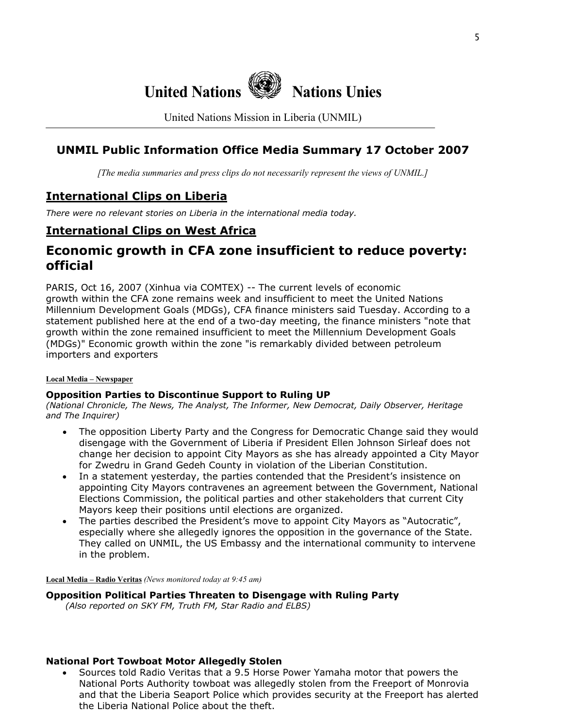

United Nations Mission in Liberia (UNMIL)

## **UNMIL Public Information Office Media Summary 17 October 2007**

*[The media summaries and press clips do not necessarily represent the views of UNMIL.]*

## **International Clips on Liberia**

*There were no relevant stories on Liberia in the international media today.* 

### **International Clips on West Africa**

# **Economic growth in CFA zone insufficient to reduce poverty: official**

PARIS, Oct 16, 2007 (Xinhua via COMTEX) -- The current levels of economic growth within the CFA zone remains week and insufficient to meet the United Nations Millennium Development Goals (MDGs), CFA finance ministers said Tuesday. According to a statement published here at the end of a two-day meeting, the finance ministers "note that growth within the zone remained insufficient to meet the Millennium Development Goals (MDGs)" Economic growth within the zone "is remarkably divided between petroleum importers and exporters

#### **Local Media – Newspaper**

#### **Opposition Parties to Discontinue Support to Ruling UP**

*(National Chronicle, The News, The Analyst, The Informer, New Democrat, Daily Observer, Heritage and The Inquirer)* 

- The opposition Liberty Party and the Congress for Democratic Change said they would disengage with the Government of Liberia if President Ellen Johnson Sirleaf does not change her decision to appoint City Mayors as she has already appointed a City Mayor for Zwedru in Grand Gedeh County in violation of the Liberian Constitution.
- In a statement yesterday, the parties contended that the President's insistence on appointing City Mayors contravenes an agreement between the Government, National Elections Commission, the political parties and other stakeholders that current City Mayors keep their positions until elections are organized.
- The parties described the President's move to appoint City Mayors as "Autocratic", especially where she allegedly ignores the opposition in the governance of the State. They called on UNMIL, the US Embassy and the international community to intervene in the problem.

**Local Media – Radio Veritas** *(News monitored today at 9:45 am)*

**Opposition Political Parties Threaten to Disengage with Ruling Party** 

 *(Also reported on SKY FM, Truth FM, Star Radio and ELBS)* 

#### **National Port Towboat Motor Allegedly Stolen**

• Sources told Radio Veritas that a 9.5 Horse Power Yamaha motor that powers the National Ports Authority towboat was allegedly stolen from the Freeport of Monrovia and that the Liberia Seaport Police which provides security at the Freeport has alerted the Liberia National Police about the theft.